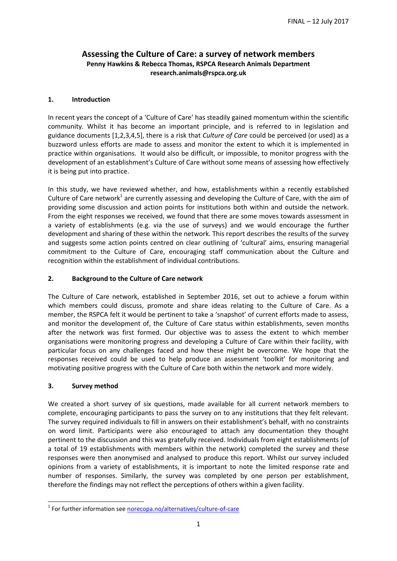# **Assessing the Culture of Care: a survey of network members Penny Hawkins & Rebecca Thomas, RSPCA Research Animals Department research.animals@rspca.org.uk**

### **1. Introduction**

In recent years the concept of a 'Culture of Care' has steadily gained momentum within the scientific community. Whilst it has become an important principle, and is referred to in legislation and guidance documents [1,2,3,4,5], there is a risk that *Culture of Care* could be perceived (or used) as a buzzword unless efforts are made to assess and monitor the extent to which it is implemented in practice within organisations. It would also be difficult, or impossible, to monitor progress with the development of an establishment's Culture of Care without some means of assessing how effectively it is being put into practice.

In this study, we have reviewed whether, and how, establishments within a recently established Culture of Care network<sup>1</sup> are currently assessing and developing the Culture of Care, with the aim of providing some discussion and action points for institutions both within and outside the network. From the eight responses we received, we found that there are some moves towards assessment in a variety of establishments (e.g. via the use of surveys) and we would encourage the further development and sharing of these within the network. This report describes the results of the survey and suggests some action points centred on clear outlining of 'cultural' aims, ensuring managerial commitment to the Culture of Care, encouraging staff communication about the Culture and recognition within the establishment of individual contributions.

## **2. Background to the Culture of Care network**

The Culture of Care network, established in September 2016, set out to achieve a forum within which members could discuss, promote and share ideas relating to the Culture of Care. As a member, the RSPCA felt it would be pertinent to take a 'snapshot' of current efforts made to assess, and monitor the development of, the Culture of Care status within establishments, seven months after the network was first formed. Our objective was to assess the extent to which member organisations were monitoring progress and developing a Culture of Care within their facility, with particular focus on any challenges faced and how these might be overcome. We hope that the responses received could be used to help produce an assessment 'toolkit' for monitoring and motivating positive progress with the Culture of Care both within the network and more widely.

#### **3. Survey method**

-

We created a short survey of six questions, made available for all current network members to complete, encouraging participants to pass the survey on to any institutions that they felt relevant. The survey required individuals to fill in answers on their establishment's behalf, with no constraints on word limit. Participants were also encouraged to attach any documentation they thought pertinent to the discussion and this was gratefully received. Individuals from eight establishments (of a total of 19 establishments with members within the network) completed the survey and these responses were then anonymised and analysed to produce this report. Whilst our survey included opinions from a variety of establishments, it is important to note the limited response rate and number of responses. Similarly, the survey was completed by one person per establishment, therefore the findings may not reflect the perceptions of others within a given facility.

<sup>&</sup>lt;sup>1</sup> For further information see [norecopa.no/alternatives/culture-of-care](https://norecopa.no/alternatives/culture-of-care)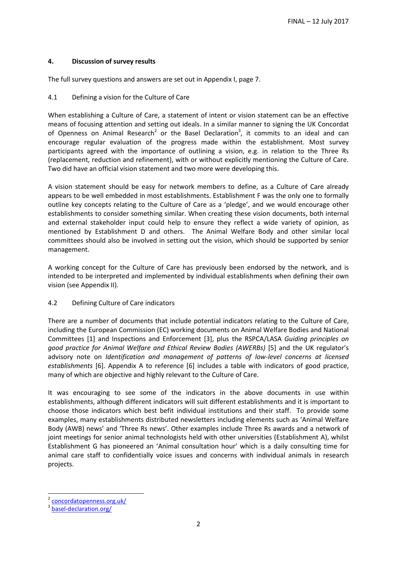## **4. Discussion of survey results**

The full survey questions and answers are set out in Appendix I, page 7.

### 4.1 Defining a vision for the Culture of Care

When establishing a Culture of Care, a statement of intent or vision statement can be an effective means of focusing attention and setting out ideals. In a similar manner to signing the UK Concordat of Openness on Animal Research<sup>2</sup> or the Basel Declaration<sup>3</sup>, it commits to an ideal and can encourage regular evaluation of the progress made within the establishment. Most survey participants agreed with the importance of outlining a vision, e.g. in relation to the Three Rs (replacement, reduction and refinement), with or without explicitly mentioning the Culture of Care. Two did have an official vision statement and two more were developing this.

A vision statement should be easy for network members to define, as a Culture of Care already appears to be well embedded in most establishments. Establishment F was the only one to formally outline key concepts relating to the Culture of Care as a 'pledge', and we would encourage other establishments to consider something similar. When creating these vision documents, both internal and external stakeholder input could help to ensure they reflect a wide variety of opinion, as mentioned by Establishment D and others. The Animal Welfare Body and other similar local committees should also be involved in setting out the vision, which should be supported by senior management.

A working concept for the Culture of Care has previously been endorsed by the network, and is intended to be interpreted and implemented by individual establishments when defining their own vision (see Appendix II).

#### 4.2 Defining Culture of Care indicators

There are a number of documents that include potential indicators relating to the Culture of Care, including the European Commission (EC) working documents on Animal Welfare Bodies and National Committees [1] and Inspections and Enforcement [3], plus the RSPCA/LASA *Guiding principles on good practice for Animal Welfare and Ethical Review Bodies (AWERBs)* [5] and the UK regulator's advisory note on *Identification and management of patterns of low-level concerns at licensed establishments* [6]. Appendix A to reference [6] includes a table with indicators of good practice, many of which are objective and highly relevant to the Culture of Care.

It was encouraging to see some of the indicators in the above documents in use within establishments, although different indicators will suit different establishments and it is important to choose those indicators which best befit individual institutions and their staff. To provide some examples, many establishments distributed newsletters including elements such as 'Animal Welfare Body (AWB) news' and 'Three Rs news'. Other examples include Three Rs awards and a network of joint meetings for senior animal technologists held with other universities (Establishment A), whilst Establishment G has pioneered an 'Animal consultation hour' which is a daily consulting time for animal care staff to confidentially voice issues and concerns with individual animals in research projects.

-

<sup>2</sup> [concordatopenness.org.uk/](http://concordatopenness.org.uk/)

<sup>3</sup> [basel-declaration.org/](http://www.basel-declaration.org/)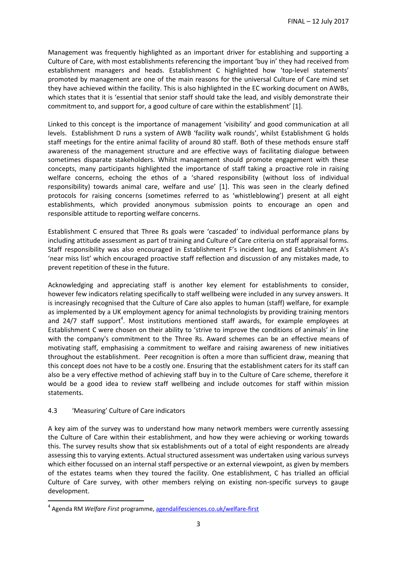Management was frequently highlighted as an important driver for establishing and supporting a Culture of Care, with most establishments referencing the important 'buy in' they had received from establishment managers and heads. Establishment C highlighted how 'top-level statements' promoted by management are one of the main reasons for the universal Culture of Care mind set they have achieved within the facility. This is also highlighted in the EC working document on AWBs, which states that it is 'essential that senior staff should take the lead, and visibly demonstrate their commitment to, and support for, a good culture of care within the establishment'  $[1].$ 

Linked to this concept is the importance of management 'visibility' and good communication at all levels. Establishment D runs a system of AWB 'facility walk rounds', whilst Establishment G holds staff meetings for the entire animal facility of around 80 staff. Both of these methods ensure staff awareness of the management structure and are effective ways of facilitating dialogue between sometimes disparate stakeholders. Whilst management should promote engagement with these concepts, many participants highlighted the importance of staff taking a proactive role in raising welfare concerns, echoing the ethos of a 'shared responsibility (without loss of individual responsibility) towards animal care, welfare and use' [1]. This was seen in the clearly defined protocols for raising concerns (sometimes referred to as 'whistleblowing') present at all eight establishments, which provided anonymous submission points to encourage an open and responsible attitude to reporting welfare concerns.

Establishment C ensured that Three Rs goals were 'cascaded' to individual performance plans by including attitude assessment as part of training and Culture of Care criteria on staff appraisal forms. Staff responsibility was also encouraged in Establishment F's incident log, and Establishment A's 'near miss list' which encouraged proactive staff reflection and discussion of any mistakes made, to prevent repetition of these in the future.

Acknowledging and appreciating staff is another key element for establishments to consider, however few indicators relating specifically to staff wellbeing were included in any survey answers. It is increasingly recognised that the Culture of Care also apples to human (staff) welfare, for example as implemented by a UK employment agency for animal technologists by providing training mentors and 24/7 staff support<sup>4</sup>. Most institutions mentioned staff awards, for example employees at Establishment C were chosen on their ability to 'strive to improve the conditions of animals' in line with the company's commitment to the Three Rs. Award schemes can be an effective means of motivating staff, emphasising a commitment to welfare and raising awareness of new initiatives throughout the establishment. Peer recognition is often a more than sufficient draw, meaning that this concept does not have to be a costly one. Ensuring that the establishment caters for its staff can also be a very effective method of achieving staff buy in to the Culture of Care scheme, therefore it would be a good idea to review staff wellbeing and include outcomes for staff within mission statements.

## 4.3 'Measuring' Culture of Care indicators

-

A key aim of the survey was to understand how many network members were currently assessing the Culture of Care within their establishment, and how they were achieving or working towards this. The survey results show that six establishments out of a total of eight respondents are already assessing this to varying extents. Actual structured assessment was undertaken using various surveys which either focussed on an internal staff perspective or an external viewpoint, as given by members of the estates teams when they toured the facility. One establishment, C has trialled an official Culture of Care survey, with other members relying on existing non-specific surveys to gauge development.

<sup>4</sup> Agenda RM *Welfare First* programme, [agendalifesciences.co.uk/welfare-first](http://www.agendalifesciences.co.uk/agenda-cms/uploads/downloads/welfare-page/WelfareFirst-Brochure.pdf)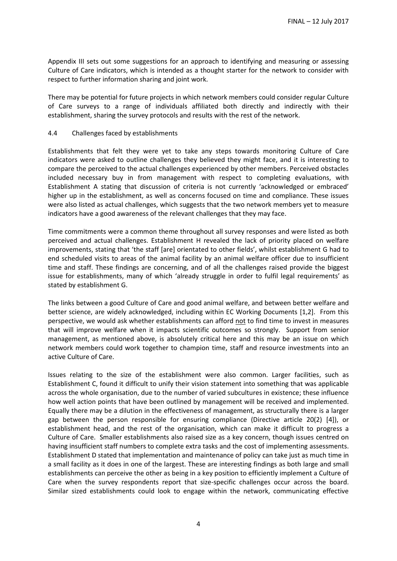Appendix III sets out some suggestions for an approach to identifying and measuring or assessing Culture of Care indicators, which is intended as a thought starter for the network to consider with respect to further information sharing and joint work.

There may be potential for future projects in which network members could consider regular Culture of Care surveys to a range of individuals affiliated both directly and indirectly with their establishment, sharing the survey protocols and results with the rest of the network.

### 4.4 Challenges faced by establishments

Establishments that felt they were yet to take any steps towards monitoring Culture of Care indicators were asked to outline challenges they believed they might face, and it is interesting to compare the perceived to the actual challenges experienced by other members. Perceived obstacles included necessary buy in from management with respect to completing evaluations, with Establishment A stating that discussion of criteria is not currently 'acknowledged or embraced' higher up in the establishment, as well as concerns focused on time and compliance. These issues were also listed as actual challenges, which suggests that the two network members yet to measure indicators have a good awareness of the relevant challenges that they may face.

Time commitments were a common theme throughout all survey responses and were listed as both perceived and actual challenges. Establishment H revealed the lack of priority placed on welfare improvements, stating that 'the staff [are] orientated to other fields', whilst establishment G had to end scheduled visits to areas of the animal facility by an animal welfare officer due to insufficient time and staff. These findings are concerning, and of all the challenges raised provide the biggest issue for establishments, many of which 'already struggle in order to fulfil legal requirements' as stated by establishment G.

The links between a good Culture of Care and good animal welfare, and between better welfare and better science, are widely acknowledged, including within EC Working Documents [1,2]. From this perspective, we would ask whether establishments can afford not to find time to invest in measures that will improve welfare when it impacts scientific outcomes so strongly. Support from senior management, as mentioned above, is absolutely critical here and this may be an issue on which network members could work together to champion time, staff and resource investments into an active Culture of Care.

Issues relating to the size of the establishment were also common. Larger facilities, such as Establishment C, found it difficult to unify their vision statement into something that was applicable across the whole organisation, due to the number of varied subcultures in existence; these influence how well action points that have been outlined by management will be received and implemented. Equally there may be a dilution in the effectiveness of management, as structurally there is a larger gap between the person responsible for ensuring compliance (Directive article 20(2) [4]), or establishment head, and the rest of the organisation, which can make it difficult to progress a Culture of Care. Smaller establishments also raised size as a key concern, though issues centred on having insufficient staff numbers to complete extra tasks and the cost of implementing assessments. Establishment D stated that implementation and maintenance of policy can take just as much time in a small facility as it does in one of the largest. These are interesting findings as both large and small establishments can perceive the other as being in a key position to efficiently implement a Culture of Care when the survey respondents report that size-specific challenges occur across the board. Similar sized establishments could look to engage within the network, communicating effective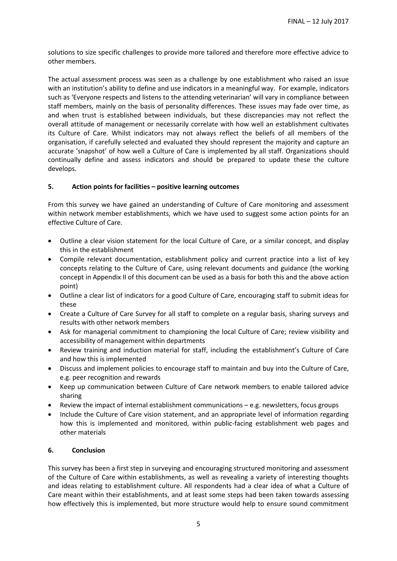solutions to size specific challenges to provide more tailored and therefore more effective advice to other members.

The actual assessment process was seen as a challenge by one establishment who raised an issue with an institution's ability to define and use indicators in a meaningful way. For example, indicators such as 'Everyone respects and listens to the attending veterinarian' will vary in compliance between staff members, mainly on the basis of personality differences. These issues may fade over time, as and when trust is established between individuals, but these discrepancies may not reflect the overall attitude of management or necessarily correlate with how well an establishment cultivates its Culture of Care. Whilst indicators may not always reflect the beliefs of all members of the organisation, if carefully selected and evaluated they should represent the majority and capture an accurate 'snapshot' of how well a Culture of Care is implemented by all staff. Organizations should continually define and assess indicators and should be prepared to update these the culture develops.

### **5. Action points for facilities – positive learning outcomes**

From this survey we have gained an understanding of Culture of Care monitoring and assessment within network member establishments, which we have used to suggest some action points for an effective Culture of Care.

- Outline a clear vision statement for the local Culture of Care, or a similar concept, and display this in the establishment
- Compile relevant documentation, establishment policy and current practice into a list of key concepts relating to the Culture of Care, using relevant documents and guidance (the working concept in Appendix II of this document can be used as a basis for both this and the above action point)
- Outline a clear list of indicators for a good Culture of Care, encouraging staff to submit ideas for these
- Create a Culture of Care Survey for all staff to complete on a regular basis, sharing surveys and results with other network members
- Ask for managerial commitment to championing the local Culture of Care; review visibility and accessibility of management within departments
- Review training and induction material for staff, including the establishment's Culture of Care and how this is implemented
- Discuss and implement policies to encourage staff to maintain and buy into the Culture of Care, e.g. peer recognition and rewards
- Keep up communication between Culture of Care network members to enable tailored advice sharing
- Review the impact of internal establishment communications e.g. newsletters, focus groups
- Include the Culture of Care vision statement, and an appropriate level of information regarding how this is implemented and monitored, within public-facing establishment web pages and other materials

#### **6. Conclusion**

This survey has been a first step in surveying and encouraging structured monitoring and assessment of the Culture of Care within establishments, as well as revealing a variety of interesting thoughts and ideas relating to establishment culture. All respondents had a clear idea of what a Culture of Care meant within their establishments, and at least some steps had been taken towards assessing how effectively this is implemented, but more structure would help to ensure sound commitment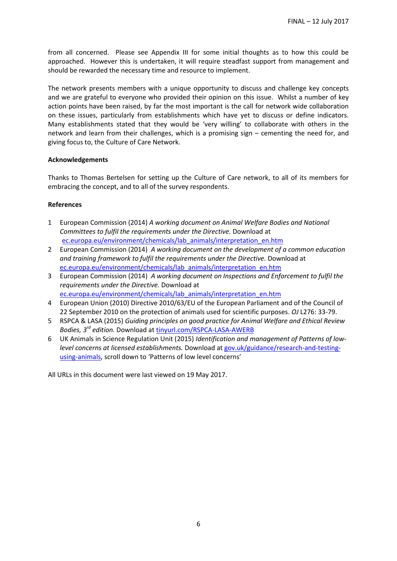from all concerned. Please see Appendix III for some initial thoughts as to how this could be approached. However this is undertaken, it will require steadfast support from management and should be rewarded the necessary time and resource to implement.

The network presents members with a unique opportunity to discuss and challenge key concepts and we are grateful to everyone who provided their opinion on this issue. Whilst a number of key action points have been raised, by far the most important is the call for network wide collaboration on these issues, particularly from establishments which have yet to discuss or define indicators. Many establishments stated that they would be 'very willing' to collaborate with others in the network and learn from their challenges, which is a promising sign – cementing the need for, and giving focus to, the Culture of Care Network.

### **Acknowledgements**

Thanks to Thomas Bertelsen for setting up the Culture of Care network, to all of its members for embracing the concept, and to all of the survey respondents.

### **References**

- 1 European Commission (2014) *A working document on Animal Welfare Bodies and National Committees to fulfil the requirements under the Directive.* Download at [ec.europa.eu/environment/chemicals/lab\\_animals/interpretation\\_en.htm](http://ec.europa.eu/environment/chemicals/lab_animals/interpretation_en.htm)
- 2 European Commission (2014) *A working document on the development of a common education and training framework to fulfil the requirements under the Directive.* Download at [ec.europa.eu/environment/chemicals/lab\\_animals/interpretation\\_en.htm](http://ec.europa.eu/environment/chemicals/lab_animals/interpretation_en.htm)
- 3 European Commission (2014) *A working document on Inspections and Enforcement to fulfil the requirements under the Directive.* Download at [ec.europa.eu/environment/chemicals/lab\\_animals/interpretation\\_en.htm](http://ec.europa.eu/environment/chemicals/lab_animals/interpretation_en.htm)
- 4 European Union (2010) Directive 2010/63/EU of the European Parliament and of the Council of 22 September 2010 on the protection of animals used for scientific purposes. *OJ* L276: 33-79.
- 5 RSPCA & LASA (2015) *Guiding principles on good practice for Animal Welfare and Ethical Review Bodies, 3rd edition.* Download at [tinyurl.com/RSPCA-LASA-AWERB](file:///C:/Users/azintzsc/AppData/Local/Microsoft/Windows/Temporary%20Internet%20Files/Content.Outlook/ZA4BDWO1/tinyurl.com/RSPCA-LASA-AWERB)
- 6 UK Animals in Science Regulation Unit (2015) *Identification and management of Patterns of lowlevel concerns at licensed establishments.* Download a[t gov.uk/guidance/research-and-testing](https://www.gov.uk/guidance/research-and-testing-using-animals)[using-animals](https://www.gov.uk/guidance/research-and-testing-using-animals), scroll down to 'Patterns of low level concerns'

All URLs in this document were last viewed on 19 May 2017.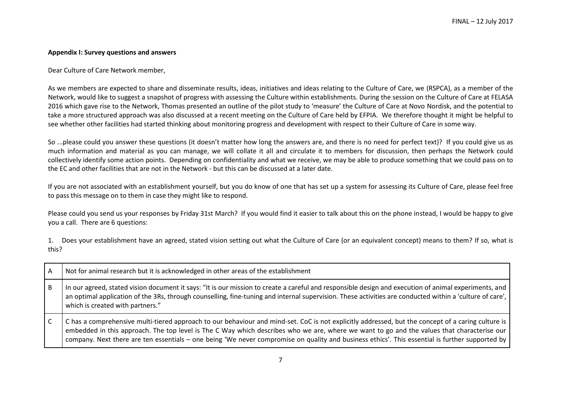#### **Appendix I: Survey questions and answers**

Dear Culture of Care Network member,

As we members are expected to share and disseminate results, ideas, initiatives and ideas relating to the Culture of Care, we (RSPCA), as a member of the Network, would like to suggest a snapshot of progress with assessing the Culture within establishments. During the session on the Culture of Care at FELASA 2016 which gave rise to the Network, Thomas presented an outline of the pilot study to 'measure' the Culture of Care at Novo Nordisk, and the potential to take a more structured approach was also discussed at a recent meeting on the Culture of Care held by EFPIA. We therefore thought it might be helpful to see whether other facilities had started thinking about monitoring progress and development with respect to their Culture of Care in some way.

So ...please could you answer these questions (it doesn't matter how long the answers are, and there is no need for perfect text)? If you could give us as much information and material as you can manage, we will collate it all and circulate it to members for discussion, then perhaps the Network could collectively identify some action points. Depending on confidentiality and what we receive, we may be able to produce something that we could pass on to the EC and other facilities that are not in the Network - but this can be discussed at a later date.

If you are not associated with an establishment yourself, but you do know of one that has set up a system for assessing its Culture of Care, please feel free to pass this message on to them in case they might like to respond.

Please could you send us your responses by Friday 31st March? If you would find it easier to talk about this on the phone instead, I would be happy to give you a call. There are 6 questions:

1. Does your establishment have an agreed, stated vision setting out what the Culture of Care (or an equivalent concept) means to them? If so, what is this?

| A | Not for animal research but it is acknowledged in other areas of the establishment                                                                                                                                                                                                                                                                                                                                                                  |
|---|-----------------------------------------------------------------------------------------------------------------------------------------------------------------------------------------------------------------------------------------------------------------------------------------------------------------------------------------------------------------------------------------------------------------------------------------------------|
| B | In our agreed, stated vision document it says: "It is our mission to create a careful and responsible design and execution of animal experiments, and<br>an optimal application of the 3Rs, through counselling, fine-tuning and internal supervision. These activities are conducted within a 'culture of care',<br>which is created with partners."                                                                                               |
|   | C has a comprehensive multi-tiered approach to our behaviour and mind-set. CoC is not explicitly addressed, but the concept of a caring culture is<br>embedded in this approach. The top level is The C Way which describes who we are, where we want to go and the values that characterise our<br>company. Next there are ten essentials - one being 'We never compromise on quality and business ethics'. This essential is further supported by |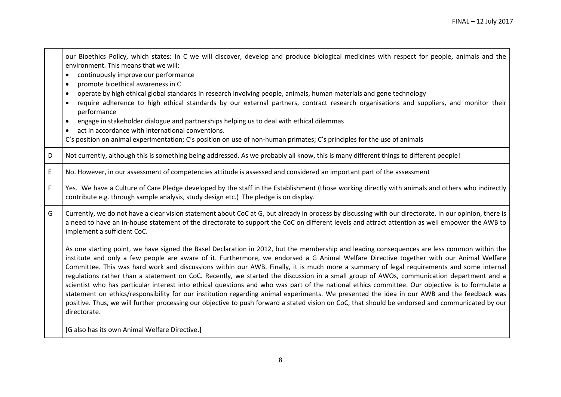|   | our Bioethics Policy, which states: In C we will discover, develop and produce biological medicines with respect for people, animals and the<br>environment. This means that we will:<br>continuously improve our performance<br>$\bullet$<br>promote bioethical awareness in C<br>$\bullet$<br>operate by high ethical global standards in research involving people, animals, human materials and gene technology<br>require adherence to high ethical standards by our external partners, contract research organisations and suppliers, and monitor their<br>$\bullet$<br>performance<br>engage in stakeholder dialogue and partnerships helping us to deal with ethical dilemmas<br>$\bullet$<br>act in accordance with international conventions.<br>$\bullet$<br>C's position on animal experimentation; C's position on use of non-human primates; C's principles for the use of animals                                                                                                                                                    |
|---|-----------------------------------------------------------------------------------------------------------------------------------------------------------------------------------------------------------------------------------------------------------------------------------------------------------------------------------------------------------------------------------------------------------------------------------------------------------------------------------------------------------------------------------------------------------------------------------------------------------------------------------------------------------------------------------------------------------------------------------------------------------------------------------------------------------------------------------------------------------------------------------------------------------------------------------------------------------------------------------------------------------------------------------------------------|
| D | Not currently, although this is something being addressed. As we probably all know, this is many different things to different people!                                                                                                                                                                                                                                                                                                                                                                                                                                                                                                                                                                                                                                                                                                                                                                                                                                                                                                              |
| E | No. However, in our assessment of competencies attitude is assessed and considered an important part of the assessment                                                                                                                                                                                                                                                                                                                                                                                                                                                                                                                                                                                                                                                                                                                                                                                                                                                                                                                              |
| F | Yes. We have a Culture of Care Pledge developed by the staff in the Establishment (those working directly with animals and others who indirectly<br>contribute e.g. through sample analysis, study design etc.) The pledge is on display.                                                                                                                                                                                                                                                                                                                                                                                                                                                                                                                                                                                                                                                                                                                                                                                                           |
| G | Currently, we do not have a clear vision statement about CoC at G, but already in process by discussing with our directorate. In our opinion, there is<br>a need to have an in-house statement of the directorate to support the CoC on different levels and attract attention as well empower the AWB to<br>implement a sufficient CoC.                                                                                                                                                                                                                                                                                                                                                                                                                                                                                                                                                                                                                                                                                                            |
|   | As one starting point, we have signed the Basel Declaration in 2012, but the membership and leading consequences are less common within the<br>institute and only a few people are aware of it. Furthermore, we endorsed a G Animal Welfare Directive together with our Animal Welfare<br>Committee. This was hard work and discussions within our AWB. Finally, it is much more a summary of legal requirements and some internal<br>regulations rather than a statement on CoC. Recently, we started the discussion in a small group of AWOs, communication department and a<br>scientist who has particular interest into ethical questions and who was part of the national ethics committee. Our objective is to formulate a<br>statement on ethics/responsibility for our institution regarding animal experiments. We presented the idea in our AWB and the feedback was<br>positive. Thus, we will further processing our objective to push forward a stated vision on CoC, that should be endorsed and communicated by our<br>directorate. |
|   | [G also has its own Animal Welfare Directive.]                                                                                                                                                                                                                                                                                                                                                                                                                                                                                                                                                                                                                                                                                                                                                                                                                                                                                                                                                                                                      |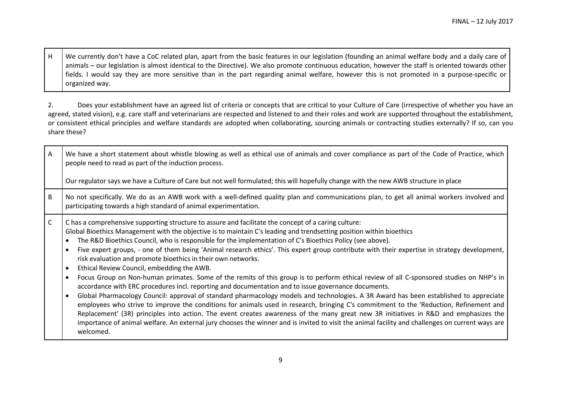H We currently don't have a CoC related plan, apart from the basic features in our legislation (founding an animal welfare body and a daily care of animals – our legislation is almost identical to the Directive). We also promote continuous education, however the staff is oriented towards other fields. I would say they are more sensitive than in the part regarding animal welfare, however this is not promoted in a purpose-specific or organized way.

2. Does your establishment have an agreed list of criteria or concepts that are critical to your Culture of Care (irrespective of whether you have an agreed, stated vision), e.g. care staff and veterinarians are respected and listened to and their roles and work are supported throughout the establishment, or consistent ethical principles and welfare standards are adopted when collaborating, sourcing animals or contracting studies externally? If so, can you share these?

| $\mathsf{A}$ | We have a short statement about whistle blowing as well as ethical use of animals and cover compliance as part of the Code of Practice, which<br>people need to read as part of the induction process.<br>Our regulator says we have a Culture of Care but not well formulated; this will hopefully change with the new AWB structure in place                                                                                                                                                                                                                                                                                                                                                                                                                                                                                                                                                                                                                                                                                                                                                                                                                                                                                                                                                                                                                                                                                                        |
|--------------|-------------------------------------------------------------------------------------------------------------------------------------------------------------------------------------------------------------------------------------------------------------------------------------------------------------------------------------------------------------------------------------------------------------------------------------------------------------------------------------------------------------------------------------------------------------------------------------------------------------------------------------------------------------------------------------------------------------------------------------------------------------------------------------------------------------------------------------------------------------------------------------------------------------------------------------------------------------------------------------------------------------------------------------------------------------------------------------------------------------------------------------------------------------------------------------------------------------------------------------------------------------------------------------------------------------------------------------------------------------------------------------------------------------------------------------------------------|
| B            | No not specifically. We do as an AWB work with a well-defined quality plan and communications plan, to get all animal workers involved and<br>participating towards a high standard of animal experimentation.                                                                                                                                                                                                                                                                                                                                                                                                                                                                                                                                                                                                                                                                                                                                                                                                                                                                                                                                                                                                                                                                                                                                                                                                                                        |
| $\mathsf{C}$ | C has a comprehensive supporting structure to assure and facilitate the concept of a caring culture:<br>Global Bioethics Management with the objective is to maintain C's leading and trendsetting position within bioethics<br>The R&D Bioethics Council, who is responsible for the implementation of C's Bioethics Policy (see above).<br>Five expert groups, - one of them being 'Animal research ethics'. This expert group contribute with their expertise in strategy development,<br>risk evaluation and promote bioethics in their own networks.<br>Ethical Review Council, embedding the AWB.<br>Focus Group on Non-human primates. Some of the remits of this group is to perform ethical review of all C-sponsored studies on NHP's in<br>accordance with ERC procedures incl. reporting and documentation and to issue governance documents.<br>Global Pharmacology Council: approval of standard pharmacology models and technologies. A 3R Award has been established to appreciate<br>employees who strive to improve the conditions for animals used in research, bringing C's commitment to the 'Reduction, Refinement and<br>Replacement' (3R) principles into action. The event creates awareness of the many great new 3R initiatives in R&D and emphasizes the<br>importance of animal welfare. An external jury chooses the winner and is invited to visit the animal facility and challenges on current ways are<br>welcomed. |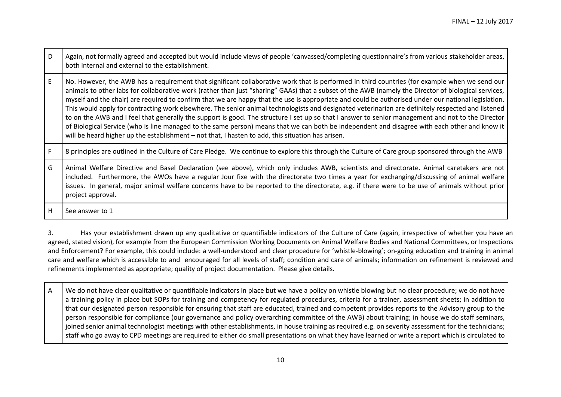| D | Again, not formally agreed and accepted but would include views of people 'canvassed/completing questionnaire's from various stakeholder areas,<br>both internal and external to the establishment.                                                                                                                                                                                                                                                                                                                                                                                                                                                                                                                                                                                                                                                                                                                                                                                                                           |
|---|-------------------------------------------------------------------------------------------------------------------------------------------------------------------------------------------------------------------------------------------------------------------------------------------------------------------------------------------------------------------------------------------------------------------------------------------------------------------------------------------------------------------------------------------------------------------------------------------------------------------------------------------------------------------------------------------------------------------------------------------------------------------------------------------------------------------------------------------------------------------------------------------------------------------------------------------------------------------------------------------------------------------------------|
| E | No. However, the AWB has a requirement that significant collaborative work that is performed in third countries (for example when we send our<br>animals to other labs for collaborative work (rather than just "sharing" GAAs) that a subset of the AWB (namely the Director of biological services,<br>myself and the chair) are required to confirm that we are happy that the use is appropriate and could be authorised under our national legislation.<br>This would apply for contracting work elsewhere. The senior animal technologists and designated veterinarian are definitely respected and listened<br>to on the AWB and I feel that generally the support is good. The structure I set up so that I answer to senior management and not to the Director<br>of Biological Service (who is line managed to the same person) means that we can both be independent and disagree with each other and know it<br>will be heard higher up the establishment - not that, I hasten to add, this situation has arisen. |
|   | 8 principles are outlined in the Culture of Care Pledge. We continue to explore this through the Culture of Care group sponsored through the AWB                                                                                                                                                                                                                                                                                                                                                                                                                                                                                                                                                                                                                                                                                                                                                                                                                                                                              |
| G | Animal Welfare Directive and Basel Declaration (see above), which only includes AWB, scientists and directorate. Animal caretakers are not<br>included. Furthermore, the AWOs have a regular Jour fixe with the directorate two times a year for exchanging/discussing of animal welfare<br>issues. In general, major animal welfare concerns have to be reported to the directorate, e.g. if there were to be use of animals without prior<br>project approval.                                                                                                                                                                                                                                                                                                                                                                                                                                                                                                                                                              |
| н | See answer to 1                                                                                                                                                                                                                                                                                                                                                                                                                                                                                                                                                                                                                                                                                                                                                                                                                                                                                                                                                                                                               |

3. Has your establishment drawn up any qualitative or quantifiable indicators of the Culture of Care (again, irrespective of whether you have an agreed, stated vision), for example from the European Commission Working Documents on Animal Welfare Bodies and National Committees, or Inspections and Enforcement? For example, this could include: a well-understood and clear procedure for 'whistle-blowing'; on-going education and training in animal care and welfare which is accessible to and encouraged for all levels of staff; condition and care of animals; information on refinement is reviewed and refinements implemented as appropriate; quality of project documentation. Please give details.

A We do not have clear qualitative or quantifiable indicators in place but we have a policy on whistle blowing but no clear procedure; we do not have a training policy in place but SOPs for training and competency for regulated procedures, criteria for a trainer, assessment sheets; in addition to that our designated person responsible for ensuring that staff are educated, trained and competent provides reports to the Advisory group to the person responsible for compliance (our governance and policy overarching committee of the AWB) about training; in house we do staff seminars, joined senior animal technologist meetings with other establishments, in house training as required e.g. on severity assessment for the technicians; staff who go away to CPD meetings are required to either do small presentations on what they have learned or write a report which is circulated to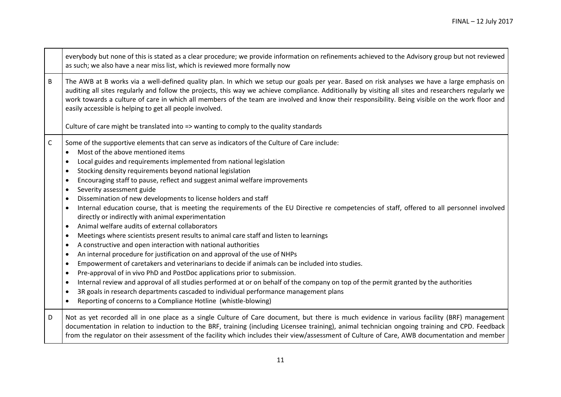|             | everybody but none of this is stated as a clear procedure; we provide information on refinements achieved to the Advisory group but not reviewed<br>as such; we also have a near miss list, which is reviewed more formally now                                                                                                                                                                                                                                                                                                                                                                                                                                                                                                                                                                                                                                                                                                                                                                                                                                                                                                                                                                                                                                                                                                                                                                                                                                                                                                                                                                                 |
|-------------|-----------------------------------------------------------------------------------------------------------------------------------------------------------------------------------------------------------------------------------------------------------------------------------------------------------------------------------------------------------------------------------------------------------------------------------------------------------------------------------------------------------------------------------------------------------------------------------------------------------------------------------------------------------------------------------------------------------------------------------------------------------------------------------------------------------------------------------------------------------------------------------------------------------------------------------------------------------------------------------------------------------------------------------------------------------------------------------------------------------------------------------------------------------------------------------------------------------------------------------------------------------------------------------------------------------------------------------------------------------------------------------------------------------------------------------------------------------------------------------------------------------------------------------------------------------------------------------------------------------------|
| B           | The AWB at B works via a well-defined quality plan. In which we setup our goals per year. Based on risk analyses we have a large emphasis on<br>auditing all sites regularly and follow the projects, this way we achieve compliance. Additionally by visiting all sites and researchers regularly we<br>work towards a culture of care in which all members of the team are involved and know their responsibility. Being visible on the work floor and<br>easily accessible is helping to get all people involved.                                                                                                                                                                                                                                                                                                                                                                                                                                                                                                                                                                                                                                                                                                                                                                                                                                                                                                                                                                                                                                                                                            |
|             | Culture of care might be translated into => wanting to comply to the quality standards                                                                                                                                                                                                                                                                                                                                                                                                                                                                                                                                                                                                                                                                                                                                                                                                                                                                                                                                                                                                                                                                                                                                                                                                                                                                                                                                                                                                                                                                                                                          |
| $\mathsf C$ | Some of the supportive elements that can serve as indicators of the Culture of Care include:<br>Most of the above mentioned items<br>$\bullet$<br>Local guides and requirements implemented from national legislation<br>Stocking density requirements beyond national legislation<br>Encouraging staff to pause, reflect and suggest animal welfare improvements<br>$\bullet$<br>Severity assessment guide<br>$\bullet$<br>Dissemination of new developments to license holders and staff<br>$\bullet$<br>Internal education course, that is meeting the requirements of the EU Directive re competencies of staff, offered to all personnel involved<br>$\bullet$<br>directly or indirectly with animal experimentation<br>Animal welfare audits of external collaborators<br>$\bullet$<br>Meetings where scientists present results to animal care staff and listen to learnings<br>$\bullet$<br>A constructive and open interaction with national authorities<br>$\bullet$<br>An internal procedure for justification on and approval of the use of NHPs<br>$\bullet$<br>Empowerment of caretakers and veterinarians to decide if animals can be included into studies.<br>$\bullet$<br>Pre-approval of in vivo PhD and PostDoc applications prior to submission.<br>$\bullet$<br>Internal review and approval of all studies performed at or on behalf of the company on top of the permit granted by the authorities<br>$\bullet$<br>3R goals in research departments cascaded to individual performance management plans<br>$\bullet$<br>Reporting of concerns to a Compliance Hotline (whistle-blowing) |
| D           | Not as yet recorded all in one place as a single Culture of Care document, but there is much evidence in various facility (BRF) management<br>documentation in relation to induction to the BRF, training (including Licensee training), animal technician ongoing training and CPD. Feedback<br>from the regulator on their assessment of the facility which includes their view/assessment of Culture of Care, AWB documentation and member                                                                                                                                                                                                                                                                                                                                                                                                                                                                                                                                                                                                                                                                                                                                                                                                                                                                                                                                                                                                                                                                                                                                                                   |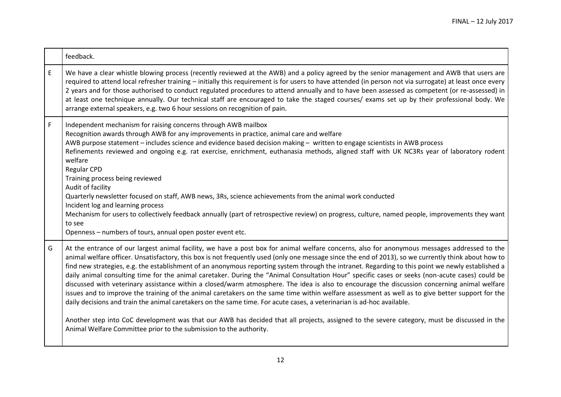|   | feedback.                                                                                                                                                                                                                                                                                                                                                                                                                                                                                                                                                                                                                                                                                                                                                                                                                                                                                                                                                                                                                                                                                                                                                                                                                                                       |
|---|-----------------------------------------------------------------------------------------------------------------------------------------------------------------------------------------------------------------------------------------------------------------------------------------------------------------------------------------------------------------------------------------------------------------------------------------------------------------------------------------------------------------------------------------------------------------------------------------------------------------------------------------------------------------------------------------------------------------------------------------------------------------------------------------------------------------------------------------------------------------------------------------------------------------------------------------------------------------------------------------------------------------------------------------------------------------------------------------------------------------------------------------------------------------------------------------------------------------------------------------------------------------|
| E | We have a clear whistle blowing process (recently reviewed at the AWB) and a policy agreed by the senior management and AWB that users are<br>required to attend local refresher training - initially this requirement is for users to have attended (in person not via surrogate) at least once every<br>2 years and for those authorised to conduct regulated procedures to attend annually and to have been assessed as competent (or re-assessed) in<br>at least one technique annually. Our technical staff are encouraged to take the staged courses/ exams set up by their professional body. We<br>arrange external speakers, e.g. two 6 hour sessions on recognition of pain.                                                                                                                                                                                                                                                                                                                                                                                                                                                                                                                                                                          |
| F | Independent mechanism for raising concerns through AWB mailbox<br>Recognition awards through AWB for any improvements in practice, animal care and welfare<br>AWB purpose statement - includes science and evidence based decision making - written to engage scientists in AWB process<br>Refinements reviewed and ongoing e.g. rat exercise, enrichment, euthanasia methods, aligned staff with UK NC3Rs year of laboratory rodent<br>welfare<br><b>Regular CPD</b><br>Training process being reviewed<br>Audit of facility<br>Quarterly newsletter focused on staff, AWB news, 3Rs, science achievements from the animal work conducted<br>Incident log and learning process<br>Mechanism for users to collectively feedback annually (part of retrospective review) on progress, culture, named people, improvements they want<br>to see<br>Openness - numbers of tours, annual open poster event etc.                                                                                                                                                                                                                                                                                                                                                      |
| G | At the entrance of our largest animal facility, we have a post box for animal welfare concerns, also for anonymous messages addressed to the<br>animal welfare officer. Unsatisfactory, this box is not frequently used (only one message since the end of 2013), so we currently think about how to<br>find new strategies, e.g. the establishment of an anonymous reporting system through the intranet. Regarding to this point we newly established a<br>daily animal consulting time for the animal caretaker. During the "Animal Consultation Hour" specific cases or seeks (non-acute cases) could be<br>discussed with veterinary assistance within a closed/warm atmosphere. The idea is also to encourage the discussion concerning animal welfare<br>issues and to improve the training of the animal caretakers on the same time within welfare assessment as well as to give better support for the<br>daily decisions and train the animal caretakers on the same time. For acute cases, a veterinarian is ad-hoc available.<br>Another step into CoC development was that our AWB has decided that all projects, assigned to the severe category, must be discussed in the<br>Animal Welfare Committee prior to the submission to the authority. |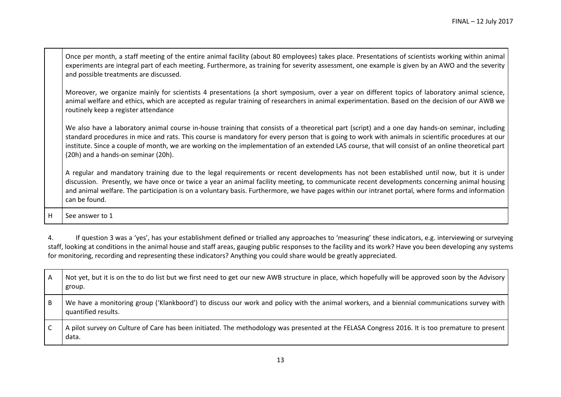| Once per month, a staff meeting of the entire animal facility (about 80 employees) takes place. Presentations of scientists working within animal |
|---------------------------------------------------------------------------------------------------------------------------------------------------|
| experiments are integral part of each meeting. Furthermore, as training for severity assessment, one example is given by an AWO and the severity  |
| and possible treatments are discussed.                                                                                                            |

Moreover, we organize mainly for scientists 4 presentations (a short symposium, over a year on different topics of laboratory animal science, animal welfare and ethics, which are accepted as regular training of researchers in animal experimentation. Based on the decision of our AWB we routinely keep a register attendance

We also have a laboratory animal course in-house training that consists of a theoretical part (script) and a one day hands-on seminar, including standard procedures in mice and rats. This course is mandatory for every person that is going to work with animals in scientific procedures at our institute. Since a couple of month, we are working on the implementation of an extended LAS course, that will consist of an online theoretical part (20h) and a hands-on seminar (20h).

A regular and mandatory training due to the legal requirements or recent developments has not been established until now, but it is under discussion. Presently, we have once or twice a year an animal facility meeting, to communicate recent developments concerning animal housing and animal welfare. The participation is on a voluntary basis. Furthermore, we have pages within our intranet portal, where forms and information can be found.

H See answer to 1

4. If question 3 was a 'yes', has your establishment defined or trialled any approaches to 'measuring' these indicators, e.g. interviewing or surveying staff, looking at conditions in the animal house and staff areas, gauging public responses to the facility and its work? Have you been developing any systems for monitoring, recording and representing these indicators? Anything you could share would be greatly appreciated.

| A  | Not yet, but it is on the to do list but we first need to get our new AWB structure in place, which hopefully will be approved soon by the Advisory<br>group.        |
|----|----------------------------------------------------------------------------------------------------------------------------------------------------------------------|
| B. | We have a monitoring group ('Klankboord') to discuss our work and policy with the animal workers, and a biennial communications survey with  <br>quantified results. |
|    | A pilot survey on Culture of Care has been initiated. The methodology was presented at the FELASA Congress 2016. It is too premature to present  <br>data.           |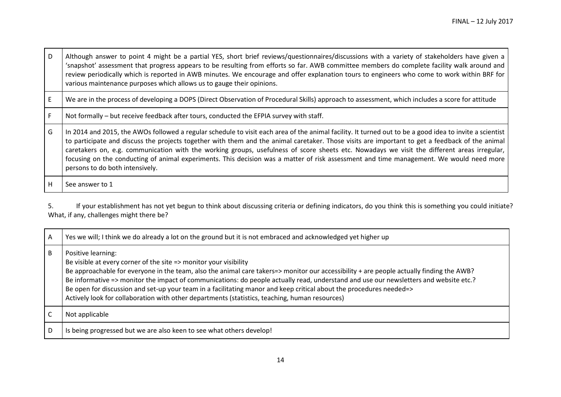| D            | Although answer to point 4 might be a partial YES, short brief reviews/questionnaires/discussions with a variety of stakeholders have given a<br>'snapshot' assessment that progress appears to be resulting from efforts so far. AWB committee members do complete facility walk around and<br>review periodically which is reported in AWB minutes. We encourage and offer explanation tours to engineers who come to work within BRF for<br>various maintenance purposes which allows us to gauge their opinions.                                                                                                                    |
|--------------|-----------------------------------------------------------------------------------------------------------------------------------------------------------------------------------------------------------------------------------------------------------------------------------------------------------------------------------------------------------------------------------------------------------------------------------------------------------------------------------------------------------------------------------------------------------------------------------------------------------------------------------------|
| E            | We are in the process of developing a DOPS (Direct Observation of Procedural Skills) approach to assessment, which includes a score for attitude                                                                                                                                                                                                                                                                                                                                                                                                                                                                                        |
| $\mathsf{F}$ | Not formally – but receive feedback after tours, conducted the EFPIA survey with staff.                                                                                                                                                                                                                                                                                                                                                                                                                                                                                                                                                 |
| G            | In 2014 and 2015, the AWOs followed a regular schedule to visit each area of the animal facility. It turned out to be a good idea to invite a scientist<br>to participate and discuss the projects together with them and the animal caretaker. Those visits are important to get a feedback of the animal<br>caretakers on, e.g. communication with the working groups, usefulness of score sheets etc. Nowadays we visit the different areas irregular,<br>focusing on the conducting of animal experiments. This decision was a matter of risk assessment and time management. We would need more<br>persons to do both intensively. |
| H            | See answer to 1                                                                                                                                                                                                                                                                                                                                                                                                                                                                                                                                                                                                                         |

5. If your establishment has not yet begun to think about discussing criteria or defining indicators, do you think this is something you could initiate? What, if any, challenges might there be?

| A | Yes we will; I think we do already a lot on the ground but it is not embraced and acknowledged yet higher up                                                                                                                                                                                                                                                                                                                                                                                                                                                                                          |
|---|-------------------------------------------------------------------------------------------------------------------------------------------------------------------------------------------------------------------------------------------------------------------------------------------------------------------------------------------------------------------------------------------------------------------------------------------------------------------------------------------------------------------------------------------------------------------------------------------------------|
| B | Positive learning:<br>Be visible at every corner of the site => monitor your visibility<br>Be approachable for everyone in the team, also the animal care takers=> monitor our accessibility + are people actually finding the AWB?<br>Be informative => monitor the impact of communications: do people actually read, understand and use our newsletters and website etc.?<br>Be open for discussion and set-up your team in a facilitating manor and keep critical about the procedures needed=><br>Actively look for collaboration with other departments (statistics, teaching, human resources) |
|   | Not applicable                                                                                                                                                                                                                                                                                                                                                                                                                                                                                                                                                                                        |
| D | Is being progressed but we are also keen to see what others develop!                                                                                                                                                                                                                                                                                                                                                                                                                                                                                                                                  |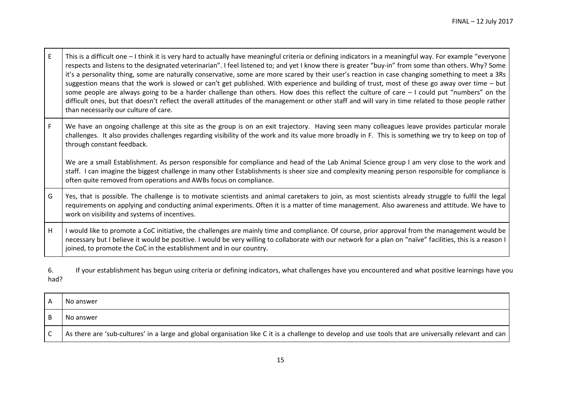| E  | This is a difficult one - I think it is very hard to actually have meaningful criteria or defining indicators in a meaningful way. For example "everyone<br>respects and listens to the designated veterinarian". I feel listened to; and yet I know there is greater "buy-in" from some than others. Why? Some<br>it's a personality thing, some are naturally conservative, some are more scared by their user's reaction in case changing something to meet a 3Rs<br>suggestion means that the work is slowed or can't get published. With experience and building of trust, most of these go away over time - but<br>some people are always going to be a harder challenge than others. How does this reflect the culture of care - I could put "numbers" on the<br>difficult ones, but that doesn't reflect the overall attitudes of the management or other staff and will vary in time related to those people rather<br>than necessarily our culture of care. |
|----|-----------------------------------------------------------------------------------------------------------------------------------------------------------------------------------------------------------------------------------------------------------------------------------------------------------------------------------------------------------------------------------------------------------------------------------------------------------------------------------------------------------------------------------------------------------------------------------------------------------------------------------------------------------------------------------------------------------------------------------------------------------------------------------------------------------------------------------------------------------------------------------------------------------------------------------------------------------------------|
| F. | We have an ongoing challenge at this site as the group is on an exit trajectory. Having seen many colleagues leave provides particular morale<br>challenges. It also provides challenges regarding visibility of the work and its value more broadly in F. This is something we try to keep on top of<br>through constant feedback.                                                                                                                                                                                                                                                                                                                                                                                                                                                                                                                                                                                                                                   |
|    | We are a small Establishment. As person responsible for compliance and head of the Lab Animal Science group I am very close to the work and<br>staff. I can imagine the biggest challenge in many other Establishments is sheer size and complexity meaning person responsible for compliance is<br>often quite removed from operations and AWBs focus on compliance.                                                                                                                                                                                                                                                                                                                                                                                                                                                                                                                                                                                                 |
| G  | Yes, that is possible. The challenge is to motivate scientists and animal caretakers to join, as most scientists already struggle to fulfil the legal<br>requirements on applying and conducting animal experiments. Often it is a matter of time management. Also awareness and attitude. We have to<br>work on visibility and systems of incentives.                                                                                                                                                                                                                                                                                                                                                                                                                                                                                                                                                                                                                |
| H  | I would like to promote a CoC initiative, the challenges are mainly time and compliance. Of course, prior approval from the management would be<br>necessary but I believe it would be positive. I would be very willing to collaborate with our network for a plan on "naïve" facilities, this is a reason I<br>joined, to promote the CoC in the establishment and in our country.                                                                                                                                                                                                                                                                                                                                                                                                                                                                                                                                                                                  |

6. If your establishment has begun using criteria or defining indicators, what challenges have you encountered and what positive learnings have you had?

| No answer                                                                                                                                              |
|--------------------------------------------------------------------------------------------------------------------------------------------------------|
| No answer                                                                                                                                              |
| As there are 'sub-cultures' in a large and global organisation like C it is a challenge to develop and use tools that are universally relevant and can |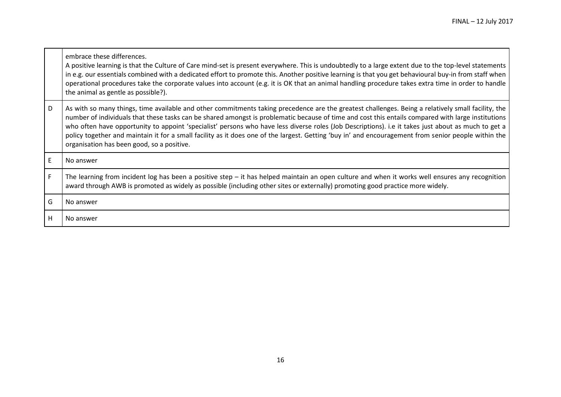|   | embrace these differences.<br>A positive learning is that the Culture of Care mind-set is present everywhere. This is undoubtedly to a large extent due to the top-level statements<br>in e.g. our essentials combined with a dedicated effort to promote this. Another positive learning is that you get behavioural buy-in from staff when<br>operational procedures take the corporate values into account (e.g. it is OK that an animal handling procedure takes extra time in order to handle<br>the animal as gentle as possible?).                                                                                                                             |
|---|-----------------------------------------------------------------------------------------------------------------------------------------------------------------------------------------------------------------------------------------------------------------------------------------------------------------------------------------------------------------------------------------------------------------------------------------------------------------------------------------------------------------------------------------------------------------------------------------------------------------------------------------------------------------------|
| D | As with so many things, time available and other commitments taking precedence are the greatest challenges. Being a relatively small facility, the<br>number of individuals that these tasks can be shared amongst is problematic because of time and cost this entails compared with large institutions<br>who often have opportunity to appoint 'specialist' persons who have less diverse roles (Job Descriptions). i.e it takes just about as much to get a<br>policy together and maintain it for a small facility as it does one of the largest. Getting 'buy in' and encouragement from senior people within the<br>organisation has been good, so a positive. |
| E | No answer                                                                                                                                                                                                                                                                                                                                                                                                                                                                                                                                                                                                                                                             |
| F | The learning from incident log has been a positive step - it has helped maintain an open culture and when it works well ensures any recognition<br>award through AWB is promoted as widely as possible (including other sites or externally) promoting good practice more widely.                                                                                                                                                                                                                                                                                                                                                                                     |
| G | No answer                                                                                                                                                                                                                                                                                                                                                                                                                                                                                                                                                                                                                                                             |
| н | No answer                                                                                                                                                                                                                                                                                                                                                                                                                                                                                                                                                                                                                                                             |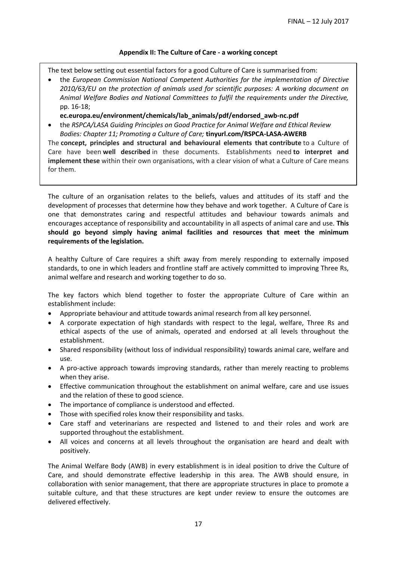### **Appendix II: The Culture of Care - a working concept**

The text below setting out essential factors for a good Culture of Care is summarised from:

 the *European Commission National Competent Authorities for the implementation of Directive 2010/63/EU on the protection of animals used for scientific purposes: A working document on Animal Welfare Bodies and National Committees to fulfil the requirements under the Directive,*  pp. 16-18;

**ec.europa.eu/environment/chemicals/lab\_animals/pdf/endorsed\_awb-nc.pdf**

 the *RSPCA/LASA Guiding Principles on Good Practice for Animal Welfare and Ethical Review Bodies: Chapter 11; Promoting a Culture of Care;* **tinyurl.com/RSPCA-LASA-AWERB**

The **concept, principles and structural and behavioural elements that contribute** to a Culture of Care have been **well described** in these documents. Establishments need **to interpret and implement these** within their own organisations, with a clear vision of what a Culture of Care means for them.

The culture of an organisation relates to the beliefs, values and attitudes of its staff and the development of processes that determine how they behave and work together. A Culture of Care is one that demonstrates caring and respectful attitudes and behaviour towards animals and encourages acceptance of responsibility and accountability in all aspects of animal care and use. **This should go beyond simply having animal facilities and resources that meet the minimum requirements of the legislation.** 

A healthy Culture of Care requires a shift away from merely responding to externally imposed standards, to one in which leaders and frontline staff are actively committed to improving Three Rs, animal welfare and research and working together to do so.

The key factors which blend together to foster the appropriate Culture of Care within an establishment include:

- Appropriate behaviour and attitude towards animal research from all key personnel.
- A corporate expectation of high standards with respect to the legal, welfare, Three Rs and ethical aspects of the use of animals, operated and endorsed at all levels throughout the establishment.
- Shared responsibility (without loss of individual responsibility) towards animal care, welfare and use.
- A pro-active approach towards improving standards, rather than merely reacting to problems when they arise.
- Effective communication throughout the establishment on animal welfare, care and use issues and the relation of these to good science.
- The importance of compliance is understood and effected.
- Those with specified roles know their responsibility and tasks.
- Care staff and veterinarians are respected and listened to and their roles and work are supported throughout the establishment.
- All voices and concerns at all levels throughout the organisation are heard and dealt with positively.

The Animal Welfare Body (AWB) in every establishment is in ideal position to drive the Culture of Care, and should demonstrate effective leadership in this area. The AWB should ensure, in collaboration with senior management, that there are appropriate structures in place to promote a suitable culture, and that these structures are kept under review to ensure the outcomes are delivered effectively.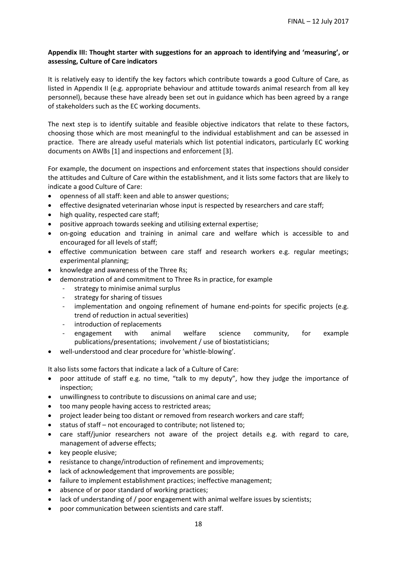## **Appendix III: Thought starter with suggestions for an approach to identifying and 'measuring', or assessing, Culture of Care indicators**

It is relatively easy to identify the key factors which contribute towards a good Culture of Care, as listed in Appendix II (e.g. appropriate behaviour and attitude towards animal research from all key personnel), because these have already been set out in guidance which has been agreed by a range of stakeholders such as the EC working documents.

The next step is to identify suitable and feasible objective indicators that relate to these factors, choosing those which are most meaningful to the individual establishment and can be assessed in practice. There are already useful materials which list potential indicators, particularly EC working documents on AWBs [1] and inspections and enforcement [3].

For example, the document on inspections and enforcement states that inspections should consider the attitudes and Culture of Care within the establishment, and it lists some factors that are likely to indicate a good Culture of Care:

- openness of all staff: keen and able to answer questions;
- effective designated veterinarian whose input is respected by researchers and care staff;
- high quality, respected care staff;
- positive approach towards seeking and utilising external expertise;
- on-going education and training in animal care and welfare which is accessible to and encouraged for all levels of staff;
- effective communication between care staff and research workers e.g. regular meetings; experimental planning;
- knowledge and awareness of the Three Rs;
- demonstration of and commitment to Three Rs in practice, for example
	- strategy to minimise animal surplus
	- strategy for sharing of tissues
	- implementation and ongoing refinement of humane end-points for specific projects (e.g. trend of reduction in actual severities)
	- introduction of replacements
	- engagement with animal welfare science community, for example publications/presentations; involvement / use of biostatisticians;
- well-understood and clear procedure for 'whistle-blowing'.

It also lists some factors that indicate a lack of a Culture of Care:

- poor attitude of staff e.g. no time, "talk to my deputy", how they judge the importance of inspection;
- unwillingness to contribute to discussions on animal care and use;
- too many people having access to restricted areas;
- project leader being too distant or removed from research workers and care staff;
- status of staff not encouraged to contribute; not listened to;
- care staff/junior researchers not aware of the project details e.g. with regard to care, management of adverse effects;
- key people elusive;
- resistance to change/introduction of refinement and improvements;
- lack of acknowledgement that improvements are possible;
- failure to implement establishment practices; ineffective management;
- absence of or poor standard of working practices;
- lack of understanding of / poor engagement with animal welfare issues by scientists;
- poor communication between scientists and care staff.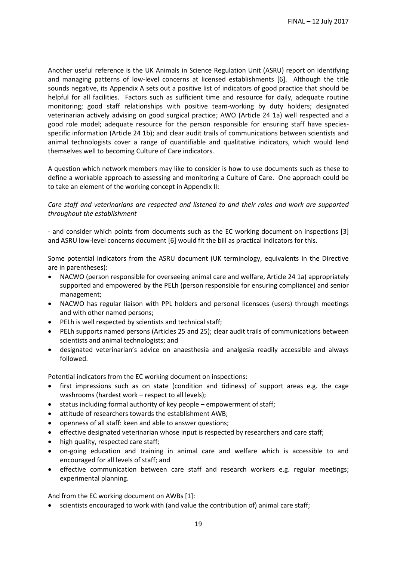Another useful reference is the UK Animals in Science Regulation Unit (ASRU) report on identifying and managing patterns of low-level concerns at licensed establishments [6]. Although the title sounds negative, its Appendix A sets out a positive list of indicators of good practice that should be helpful for all facilities. Factors such as sufficient time and resource for daily, adequate routine monitoring; good staff relationships with positive team-working by duty holders; designated veterinarian actively advising on good surgical practice; AWO (Article 24 1a) well respected and a good role model; adequate resource for the person responsible for ensuring staff have speciesspecific information (Article 24 1b); and clear audit trails of communications between scientists and animal technologists cover a range of quantifiable and qualitative indicators, which would lend themselves well to becoming Culture of Care indicators.

A question which network members may like to consider is how to use documents such as these to define a workable approach to assessing and monitoring a Culture of Care. One approach could be to take an element of the working concept in Appendix II:

## *Care staff and veterinarians are respected and listened to and their roles and work are supported throughout the establishment*

- and consider which points from documents such as the EC working document on inspections [3] and ASRU low-level concerns document [6] would fit the bill as practical indicators for this.

Some potential indicators from the ASRU document (UK terminology, equivalents in the Directive are in parentheses):

- NACWO (person responsible for overseeing animal care and welfare, Article 24 1a) appropriately supported and empowered by the PELh (person responsible for ensuring compliance) and senior management;
- NACWO has regular liaison with PPL holders and personal licensees (users) through meetings and with other named persons;
- PELh is well respected by scientists and technical staff;
- PELh supports named persons (Articles 25 and 25); clear audit trails of communications between scientists and animal technologists; and
- designated veterinarian's advice on anaesthesia and analgesia readily accessible and always followed.

Potential indicators from the EC working document on inspections:

- first impressions such as on state (condition and tidiness) of support areas e.g. the cage washrooms (hardest work – respect to all levels);
- status including formal authority of key people empowerment of staff;
- attitude of researchers towards the establishment AWB;
- openness of all staff: keen and able to answer questions;
- effective designated veterinarian whose input is respected by researchers and care staff;
- high quality, respected care staff;
- on-going education and training in animal care and welfare which is accessible to and encouraged for all levels of staff; and
- effective communication between care staff and research workers e.g. regular meetings; experimental planning.

And from the EC working document on AWBs [1]:

scientists encouraged to work with (and value the contribution of) animal care staff;